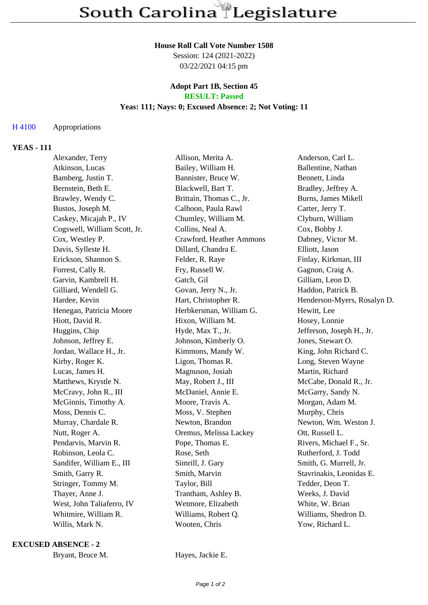#### **House Roll Call Vote Number 1508**

Session: 124 (2021-2022) 03/22/2021 04:15 pm

#### **Adopt Part 1B, Section 45 RESULT: Passed**

# **Yeas: 111; Nays: 0; Excused Absence: 2; Not Voting: 11**

## H 4100 Appropriations

## **YEAS - 111**

| Alexander, Terry             | Allison, Merita A.       | Anderson, Carl L.           |
|------------------------------|--------------------------|-----------------------------|
| Atkinson, Lucas              | Bailey, William H.       | Ballentine, Nathan          |
| Bamberg, Justin T.           | Bannister, Bruce W.      | Bennett, Linda              |
| Bernstein, Beth E.           | Blackwell, Bart T.       | Bradley, Jeffrey A.         |
| Brawley, Wendy C.            | Brittain, Thomas C., Jr. | Burns, James Mikell         |
| Bustos, Joseph M.            | Calhoon, Paula Rawl      | Carter, Jerry T.            |
| Caskey, Micajah P., IV       | Chumley, William M.      | Clyburn, William            |
| Cogswell, William Scott, Jr. | Collins, Neal A.         | Cox, Bobby J.               |
| Cox, Westley P.              | Crawford, Heather Ammons | Dabney, Victor M.           |
| Davis, Sylleste H.           | Dillard, Chandra E.      | Elliott, Jason              |
| Erickson, Shannon S.         | Felder, R. Raye          | Finlay, Kirkman, III        |
| Forrest, Cally R.            | Fry, Russell W.          | Gagnon, Craig A.            |
| Garvin, Kambrell H.          | Gatch, Gil               | Gilliam, Leon D.            |
| Gilliard, Wendell G.         | Govan, Jerry N., Jr.     | Haddon, Patrick B.          |
| Hardee, Kevin                | Hart, Christopher R.     | Henderson-Myers, Rosalyn D. |
| Henegan, Patricia Moore      | Herbkersman, William G.  | Hewitt, Lee                 |
| Hiott, David R.              | Hixon, William M.        | Hosey, Lonnie               |
| Huggins, Chip                | Hyde, Max T., Jr.        | Jefferson, Joseph H., Jr.   |
| Johnson, Jeffrey E.          | Johnson, Kimberly O.     | Jones, Stewart O.           |
| Jordan, Wallace H., Jr.      | Kimmons, Mandy W.        | King, John Richard C.       |
| Kirby, Roger K.              | Ligon, Thomas R.         | Long, Steven Wayne          |
| Lucas, James H.              | Magnuson, Josiah         | Martin, Richard             |
| Matthews, Krystle N.         | May, Robert J., III      | McCabe, Donald R., Jr.      |
| McCravy, John R., III        | McDaniel, Annie E.       | McGarry, Sandy N.           |
| McGinnis, Timothy A.         | Moore, Travis A.         | Morgan, Adam M.             |
| Moss, Dennis C.              | Moss, V. Stephen         | Murphy, Chris               |
| Murray, Chardale R.          | Newton, Brandon          | Newton, Wm. Weston J.       |
| Nutt, Roger A.               | Oremus, Melissa Lackey   | Ott, Russell L.             |
| Pendarvis, Marvin R.         | Pope, Thomas E.          | Rivers, Michael F., Sr.     |
| Robinson, Leola C.           | Rose, Seth               | Rutherford, J. Todd         |
| Sandifer, William E., III    | Simrill, J. Gary         | Smith, G. Murrell, Jr.      |
| Smith, Garry R.              | Smith, Marvin            | Stavrinakis, Leonidas E.    |
| Stringer, Tommy M.           | Taylor, Bill             | Tedder, Deon T.             |
| Thayer, Anne J.              | Trantham, Ashley B.      | Weeks, J. David             |
| West, John Taliaferro, IV    | Wetmore, Elizabeth       | White, W. Brian             |
| Whitmire, William R.         | Williams, Robert Q.      | Williams, Shedron D.        |
| Willis, Mark N.              | Wooten, Chris            | Yow, Richard L.             |
|                              |                          |                             |

**EXCUSED ABSENCE - 2**

Bryant, Bruce M. Hayes, Jackie E.